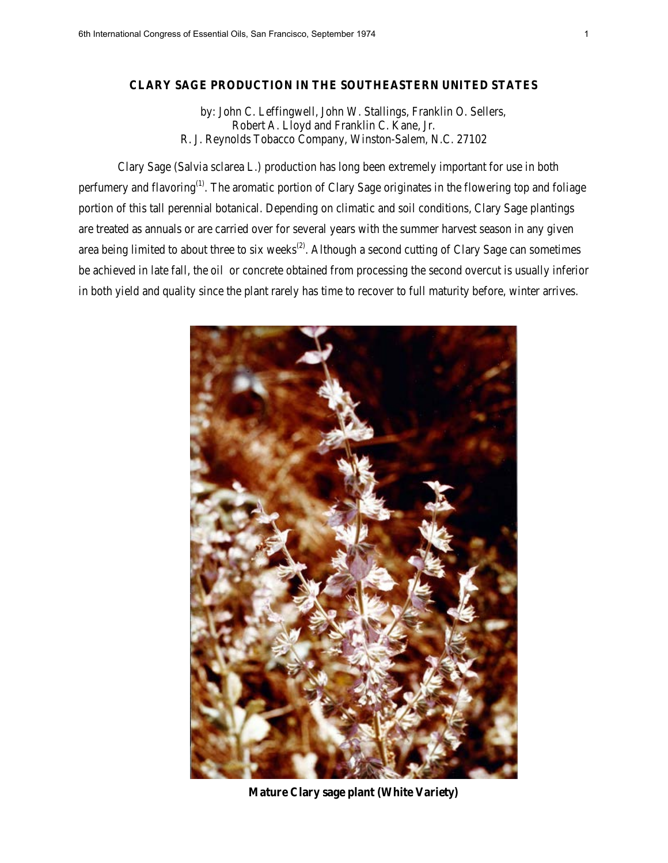## **CLARY SAGE PRODUCTION IN THE SOUTHEASTERN UNITED STATES**

 by: John C. Leffingwell, John W. Stallings, Franklin O. Sellers, Robert A. Lloyd and Franklin C. Kane, Jr. R. J. Reynolds Tobacco Company, Winston-Salem, N.C. 27102

Clary Sage (Salvia sclarea L.) production has long been extremely important for use in both perfumery and flavoring<sup>(1)</sup>. The aromatic portion of Clary Sage originates in the flowering top and foliage portion of this tall perennial botanical. Depending on climatic and soil conditions, Clary Sage plantings are treated as annuals or are carried over for several years with the summer harvest season in any given area being limited to about three to six weeks<sup> $(2)$ </sup>. Although a second cutting of Clary Sage can sometimes be achieved in late fall, the oil or concrete obtained from processing the second overcut is usually inferior in both yield and quality since the plant rarely has time to recover to full maturity before, winter arrives.



**Mature Clary sage plant (White Variety)**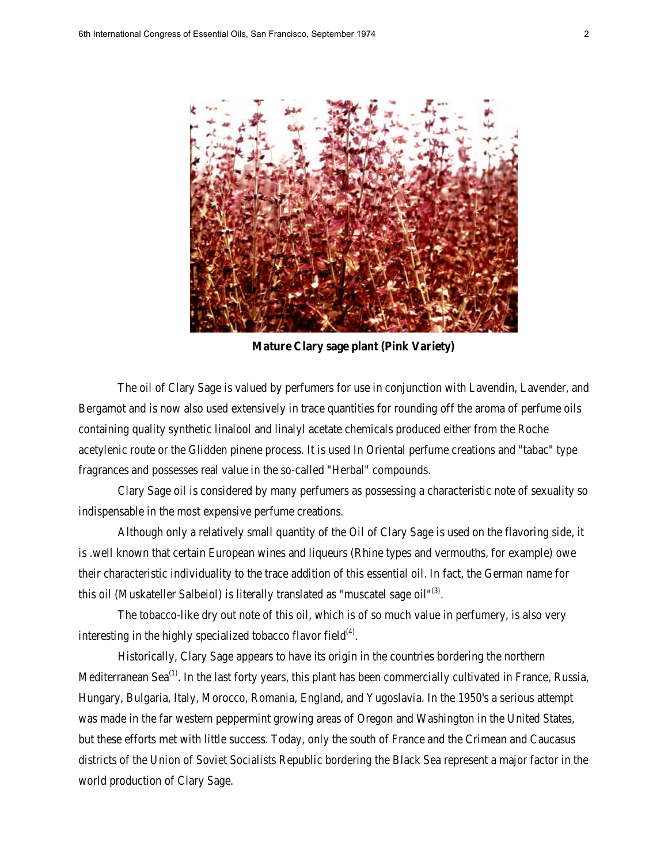

**Mature Clary sage plant (Pink Variety)**

The oil of Clary Sage is valued by perfumers for use in conjunction with Lavendin, Lavender, and Bergamot and is now also used extensively in trace quantities for rounding off the aroma of perfume oils containing quality synthetic linalool and linalyl acetate chemicals produced either from the Roche acetylenic route or the Glidden pinene process. It is used In Oriental perfume creations and "tabac" type fragrances and possesses real value in the so-called "Herbal" compounds.

Clary Sage oil is considered by many perfumers as possessing a characteristic note of sexuality so indispensable in the most expensive perfume creations.

Although only a relatively small quantity of the Oil of Clary Sage is used on the flavoring side, it is .well known that certain European wines and liqueurs (Rhine types and vermouths, for example) owe their characteristic individuality to the trace addition of this essential oil. In fact, the German name for this oil (Muskateller Salbeiol) is literally translated as "muscatel sage  $oil^{(3)}$ .

The tobacco-like dry out note of this oil, which is of so much value in perfumery, is also very interesting in the highly specialized tobacco flavor field $(4)$ .

Historically, Clary Sage appears to have its origin in the countries bordering the northern Mediterranean Sea<sup>(1)</sup>. In the last forty years, this plant has been commercially cultivated in France, Russia, Hungary, Bulgaria, Italy, Morocco, Romania, England, and Yugoslavia. In the 1950's a serious attempt was made in the far western peppermint growing areas of Oregon and Washington in the United States, but these efforts met with little success. Today, only the south of France and the Crimean and Caucasus districts of the Union of Soviet Socialists Republic bordering the Black Sea represent a major factor in the world production of Clary Sage.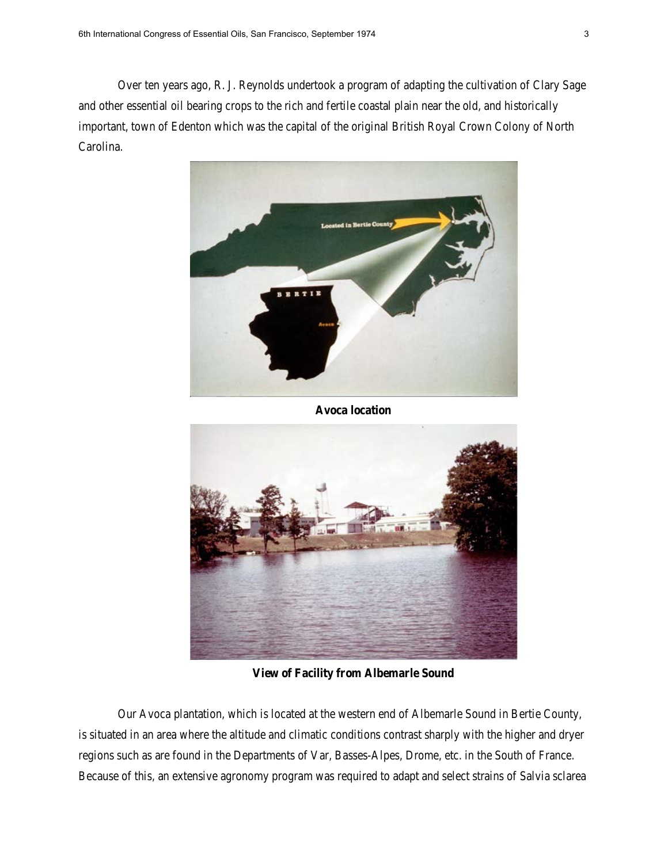Over ten years ago, R. J. Reynolds undertook a program of adapting the cultivation of Clary Sage and other essential oil bearing crops to the rich and fertile coastal plain near the old, and historically important, town of Edenton which was the capital of the original British Royal Crown Colony of North Carolina.



**Avoca location** 



**View of Facility from Albemarle Sound**

Our Avoca plantation, which is located at the western end of Albemarle Sound in Bertie County, is situated in an area where the altitude and climatic conditions contrast sharply with the higher and dryer regions such as are found in the Departments of Var, Basses-Alpes, Drome, etc. in the South of France. Because of this, an extensive agronomy program was required to adapt and select strains of Salvia sclarea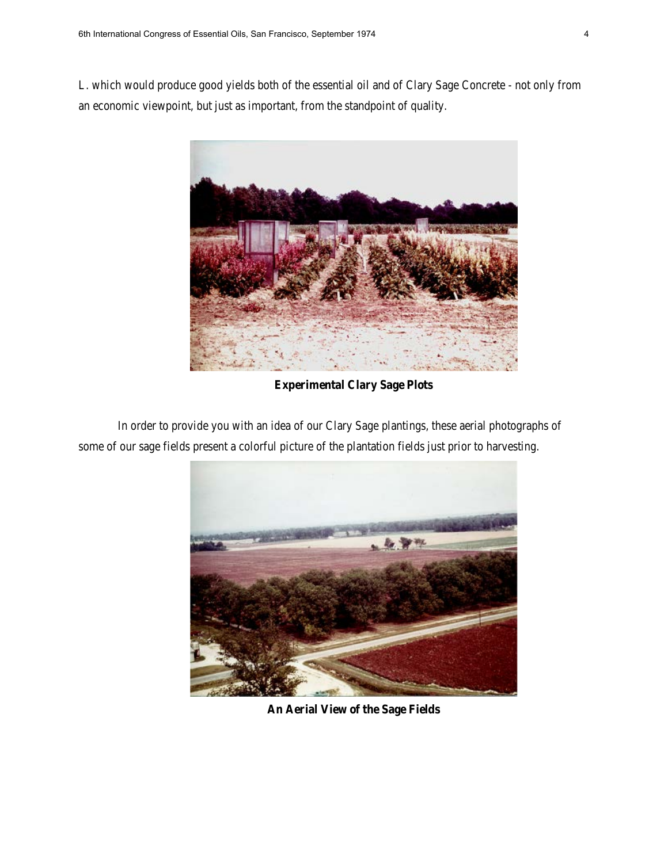L. which would produce good yields both of the essential oil and of Clary Sage Concrete - not only from an economic viewpoint, but just as important, from the standpoint of quality.



**Experimental Clary Sage Plots** 

In order to provide you with an idea of our Clary Sage plantings, these aerial photographs of some of our sage fields present a colorful picture of the plantation fields just prior to harvesting.



**An Aerial View of the Sage Fields**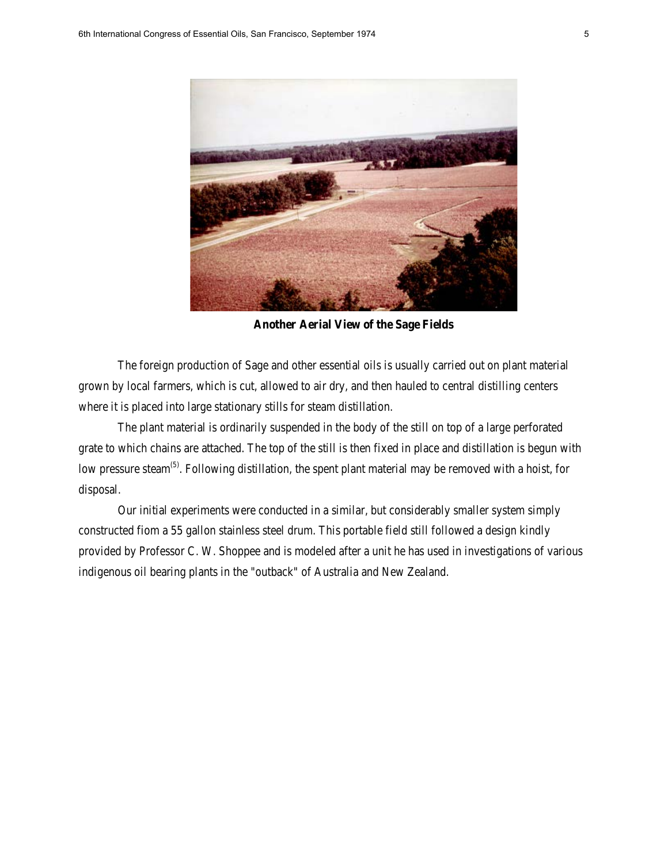

**Another Aerial View of the Sage Fields**

The foreign production of Sage and other essential oils is usually carried out on plant material grown by local farmers, which is cut, allowed to air dry, and then hauled to central distilling centers where it is placed into large stationary stills for steam distillation.

The plant material is ordinarily suspended in the body of the still on top of a large perforated grate to which chains are attached. The top of the still is then fixed in place and distillation is begun with low pressure steam<sup>(5)</sup>. Following distillation, the spent plant material may be removed with a hoist, for disposal.

Our initial experiments were conducted in a similar, but considerably smaller system simply constructed fiom a 55 gallon stainless steel drum. This portable field still followed a design kindly provided by Professor C. W. Shoppee and is modeled after a unit he has used in investigations of various indigenous oil bearing plants in the "outback" of Australia and New Zealand.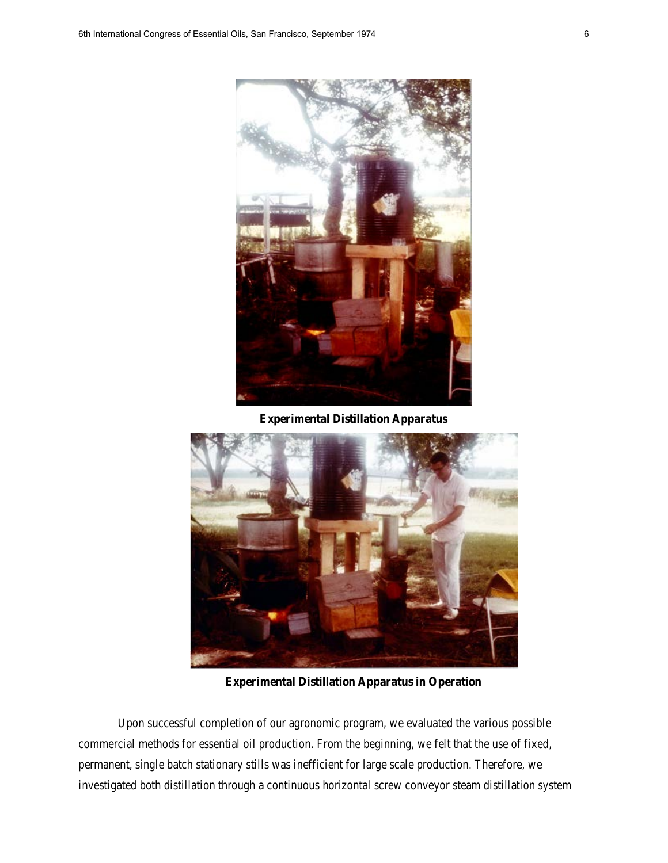

**Experimental Distillation Apparatus**



**Experimental Distillation Apparatus in Operation**

Upon successful completion of our agronomic program, we evaluated the various possible commercial methods for essential oil production. From the beginning, we felt that the use of fixed, permanent, single batch stationary stills was inefficient for large scale production. Therefore, we investigated both distillation through a continuous horizontal screw conveyor steam distillation system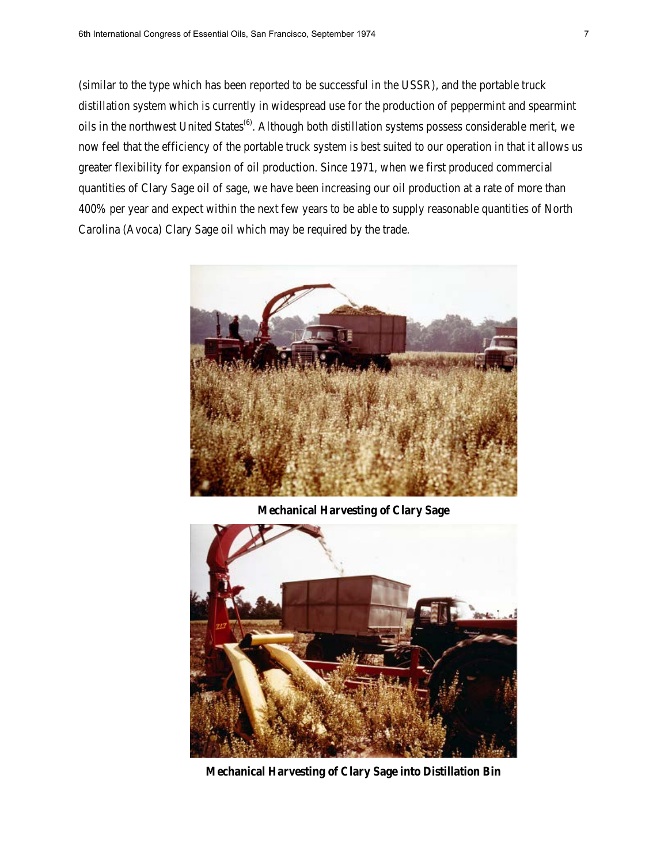(similar to the type which has been reported to be successful in the USSR), and the portable truck distillation system which is currently in widespread use for the production of peppermint and spearmint oils in the northwest United States<sup>(6)</sup>. Although both distillation systems possess considerable merit, we now feel that the efficiency of the portable truck system is best suited to our operation in that it allows us greater flexibility for expansion of oil production. Since 1971, when we first produced commercial quantities of Clary Sage oil of sage, we have been increasing our oil production at a rate of more than 400% per year and expect within the next few years to be able to supply reasonable quantities of North Carolina (Avoca) Clary Sage oil which may be required by the trade.



**Mechanical Harvesting of Clary Sage**



**Mechanical Harvesting of Clary Sage into Distillation Bin**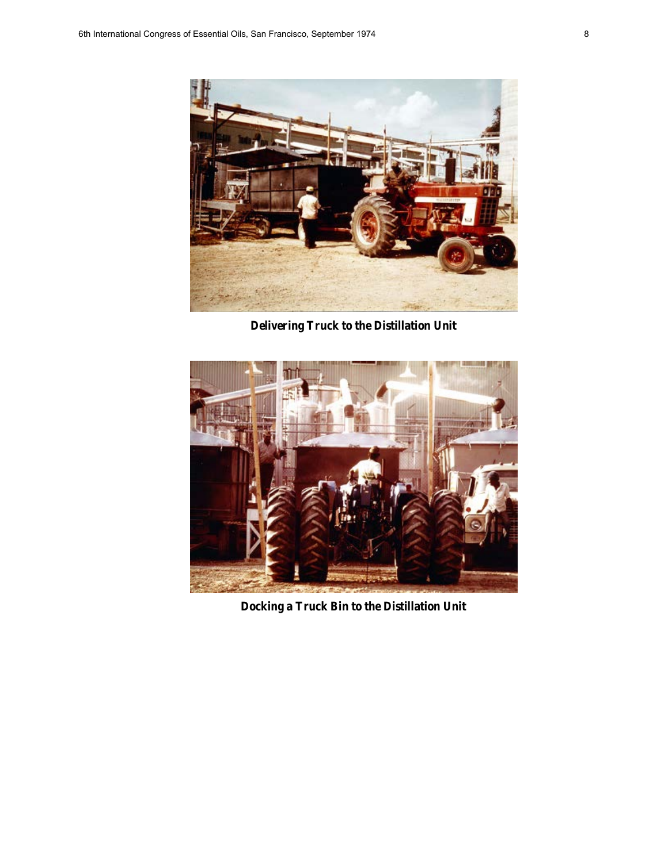

**Delivering Truck to the Distillation Unit**



**Docking a Truck Bin to the Distillation Unit**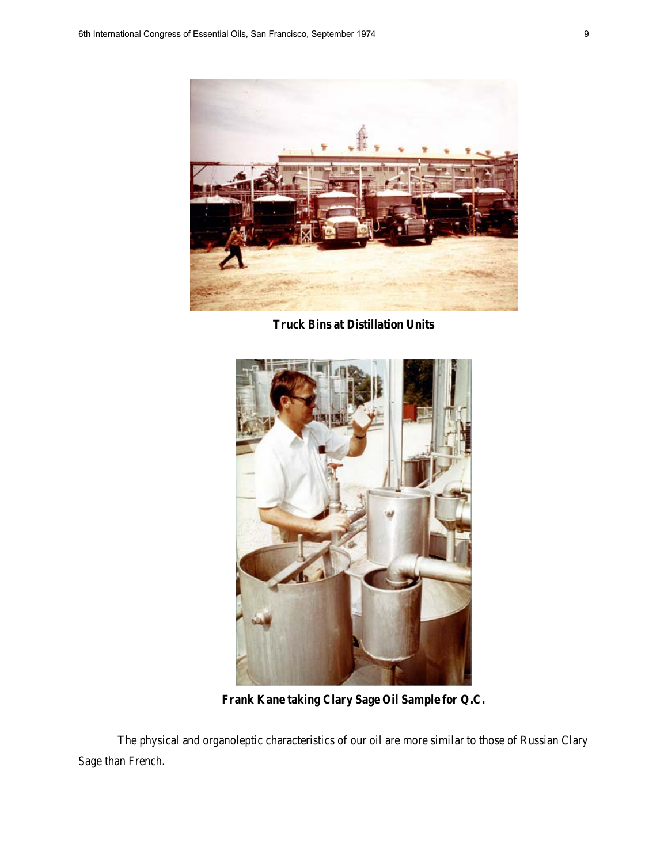

**Truck Bins at Distillation Units**



**Frank Kane taking Clary Sage Oil Sample for Q.C.**

The physical and organoleptic characteristics of our oil are more similar to those of Russian Clary Sage than French.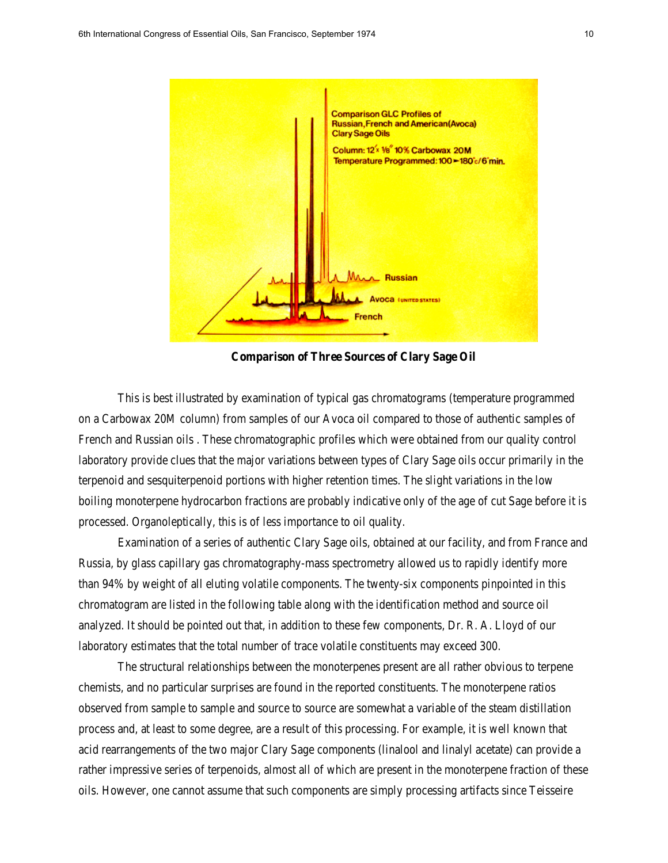

**Comparison of Three Sources of Clary Sage Oil**

This is best illustrated by examination of typical gas chromatograms (temperature programmed on a Carbowax 20M column) from samples of our Avoca oil compared to those of authentic samples of French and Russian oils . These chromatographic profiles which were obtained from our quality control laboratory provide clues that the major variations between types of Clary Sage oils occur primarily in the terpenoid and sesquiterpenoid portions with higher retention times. The slight variations in the low boiling monoterpene hydrocarbon fractions are probably indicative only of the age of cut Sage before it is processed. Organoleptically, this is of less importance to oil quality.

Examination of a series of authentic Clary Sage oils, obtained at our facility, and from France and Russia, by glass capillary gas chromatography-mass spectrometry allowed us to rapidly identify more than 94% by weight of all eluting volatile components. The twenty-six components pinpointed in this chromatogram are listed in the following table along with the identification method and source oil analyzed. It should be pointed out that, in addition to these few components, Dr. R. A. Lloyd of our laboratory estimates that the total number of trace volatile constituents may exceed 300.

The structural relationships between the monoterpenes present are all rather obvious to terpene chemists, and no particular surprises are found in the reported constituents. The monoterpene ratios observed from sample to sample and source to source are somewhat a variable of the steam distillation process and, at least to some degree, are a result of this processing. For example, it is well known that acid rearrangements of the two major Clary Sage components (linalool and linalyl acetate) can provide a rather impressive series of terpenoids, almost all of which are present in the monoterpene fraction of these oils. However, one cannot assume that such components are simply processing artifacts since Teisseire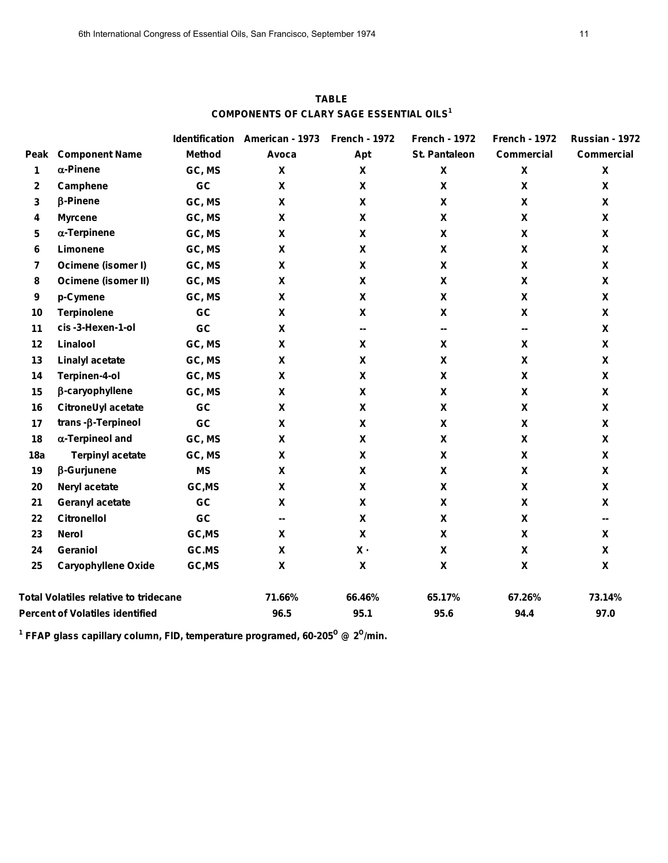|                                              |                              |               | Identification American - 1973 | <b>French - 1972</b>      | <b>French - 1972</b> | <b>French - 1972</b>      | Russian - 1972     |
|----------------------------------------------|------------------------------|---------------|--------------------------------|---------------------------|----------------------|---------------------------|--------------------|
|                                              | <b>Peak Component Name</b>   | <b>Method</b> | Avoca                          | Apt                       | <b>St. Pantaleon</b> | <b>Commercial</b>         | <b>Commercial</b>  |
| 1                                            | $\alpha$ -Pinene             | GC, MS        | X                              | X                         | $\pmb{\mathsf{X}}$   | $\boldsymbol{\mathsf{X}}$ | X                  |
| $\mathbf{2}$                                 | Camphene                     | GC            | X                              | X                         | X                    | $\boldsymbol{\mathsf{X}}$ | X                  |
| 3                                            | $\beta$ -Pinene              | GC, MS        | X                              | X                         | X                    | X                         | X                  |
| 4                                            | <b>Myrcene</b>               | GC, MS        | X                              | X                         | X                    | X                         | X                  |
| 5                                            | $\alpha$ -Terpinene          | GC, MS        | X                              | X                         | X                    | $\boldsymbol{\mathsf{X}}$ | X                  |
| 6                                            | Limonene                     | GC, MS        | X                              | X                         | X                    | X                         | $\pmb{\mathsf{X}}$ |
| $\overline{7}$                               | Ocimene (isomer I)           | GC, MS        | X                              | X                         | X                    | X                         | X                  |
| 8                                            | Ocimene (isomer II)          | GC, MS        | X                              | X                         | X                    | $\boldsymbol{\mathsf{X}}$ | X                  |
| 9                                            | p-Cymene                     | GC, MS        | X                              | X                         | X                    | X                         | X                  |
| 10                                           | <b>Terpinolene</b>           | GC            | X                              | X                         | X                    | $\boldsymbol{\mathsf{X}}$ | X                  |
| 11                                           | cis-3-Hexen-1-ol             | GC            | X                              | ₩.                        | н.                   | ₩.                        | $\pmb{\mathsf{X}}$ |
| 12                                           | Linalool                     | GC, MS        | $\mathbf x$                    | X                         | X                    | $\boldsymbol{\mathsf{X}}$ | X                  |
| 13                                           | <b>Linalyl acetate</b>       | GC, MS        | X                              | X                         | X                    | X                         | X                  |
| 14                                           | Terpinen-4-ol                | GC, MS        | X                              | X                         | X                    | X                         | X                  |
| 15                                           | β-caryophyllene              | GC, MS        | X                              | X                         | X                    | $\boldsymbol{\mathsf{X}}$ | X                  |
| 16                                           | CitroneUyl acetate           | GC            | X                              | X                         | X                    | X                         | X                  |
| 17                                           | $trans$ - $\beta$ -Terpineol | GC            | X                              | X                         | X                    | $\mathbf x$               | X                  |
| 18                                           | $\alpha$ -Terpineol and      | GC, MS        | X                              | X                         | X                    | $\boldsymbol{\mathsf{X}}$ | X                  |
| 18a                                          | <b>Terpinyl acetate</b>      | GC, MS        | $\mathbf x$                    | X                         | X                    | $\mathbf x$               | $\mathbf{x}$       |
| 19                                           | $\beta$ -Gurjunene           | <b>MS</b>     | $\mathbf x$                    | X                         | X                    | $\boldsymbol{\mathsf{X}}$ | X                  |
| 20                                           | Neryl acetate                | GC,MS         | X                              | X                         | X                    | X                         | X                  |
| 21                                           | <b>Geranyl acetate</b>       | GC            | X                              | X                         | X                    | X                         | X                  |
| 22                                           | <b>Citronellol</b>           | GC            | н.                             | X                         | X                    | X                         | ⊷                  |
| 23                                           | <b>Nerol</b>                 | GC, MS        | X                              | $\mathbf x$               | X                    | $\mathbf x$               | X                  |
| 24                                           | Geraniol                     | GC.MS         | X                              | $x -$                     | X                    | X                         | $\mathbf{x}$       |
| 25                                           | <b>Caryophyllene Oxide</b>   | GC, MS        | $\mathbf x$                    | $\boldsymbol{\mathsf{x}}$ | X                    | $\boldsymbol{\mathsf{x}}$ | X                  |
| <b>Total Volatiles relative to tridecane</b> |                              |               | 71.66%                         | 66.46%                    | 65.17%               | 67.26%                    | 73.14%             |
| <b>Percent of Volatiles identified</b>       |                              |               | 96.5                           | 95.1                      | 95.6                 | 94.4                      | 97.0               |

**TABLE COMPONENTS OF CLARY SAGE ESSENTIAL OILS1**

<sup>1</sup> FFAP glass capillary column, FID, temperature programed, 60-205<sup>o</sup> @ 2<sup>o</sup>/min.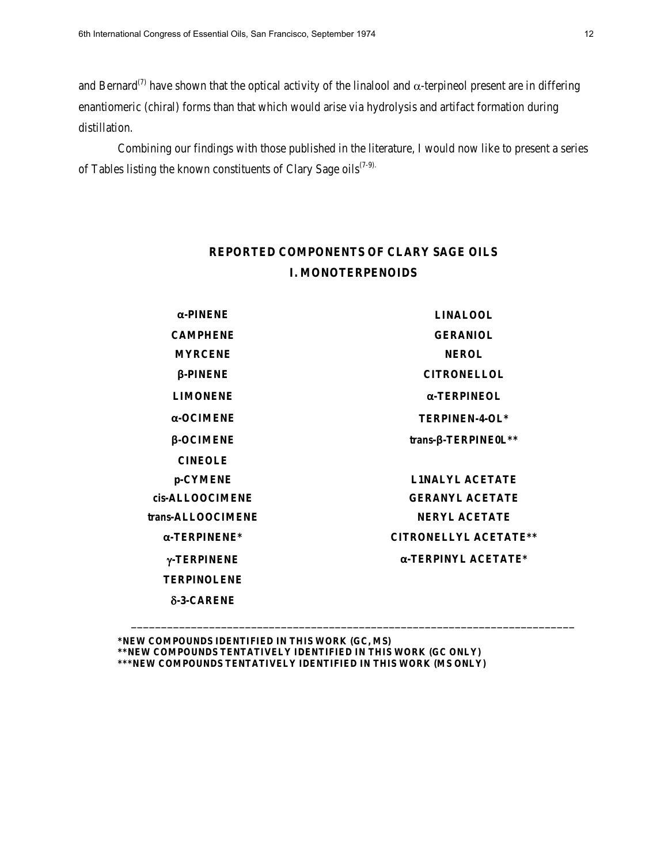and Bernard<sup>(7)</sup> have shown that the optical activity of the linalool and  $\alpha$ -terpineol present are in differing enantiomeric (chiral) forms than that which would arise via hydrolysis and artifact formation during distillation.

Combining our findings with those published in the literature, I would now like to present a series of Tables listing the known constituents of Clary Sage oils<sup>(7-9).</sup>

# **REPORTED COMPONENTS OF CLARY SAGE OILS I. MONOTERPENOIDS**

| $\alpha$ -PINENE     | <b>LINALOOL</b>              |  |  |  |  |
|----------------------|------------------------------|--|--|--|--|
| <b>CAMPHENE</b>      | <b>GERANIOL</b>              |  |  |  |  |
| <b>MYRCENE</b>       | <b>NEROL</b>                 |  |  |  |  |
| $\beta$ -PINENE      | <b>CITRONELLOL</b>           |  |  |  |  |
| <b>LIMONENE</b>      | $\alpha$ -TERPINEOL          |  |  |  |  |
| $\alpha$ -OCIMENE    | TERPINEN-4-OL*               |  |  |  |  |
| $\beta$ -OCIMENE     | $trans-\beta$ -TERPINE0L**   |  |  |  |  |
| <b>CINEOLE</b>       |                              |  |  |  |  |
| p-CYMENE             | <b>LINALYL ACETATE</b>       |  |  |  |  |
| cis-ALLOOCIMENE      | <b>GERANYL ACETATE</b>       |  |  |  |  |
| trans-ALLOOCIMENE    | <b>NERYL ACETATE</b>         |  |  |  |  |
| $\alpha$ -TERPINENE* | <b>CITRONELLYL ACETATE**</b> |  |  |  |  |
| γ-TERPINENE          | $\alpha$ -TERPINYL ACETATE*  |  |  |  |  |
| <b>TERPINOLENE</b>   |                              |  |  |  |  |
| $\delta$ -3-CARENE   |                              |  |  |  |  |
|                      |                              |  |  |  |  |

\_\_\_\_\_\_\_\_\_\_\_\_\_\_\_\_\_\_\_\_\_\_\_\_\_\_\_\_\_\_\_\_\_\_\_\_\_\_\_\_\_\_\_\_\_\_\_\_\_\_\_\_\_\_\_\_\_\_\_\_\_\_\_\_\_\_\_\_\_\_\_\_\_\_

**\*NEW COMPOUNDS IDENTIFIED IN THIS WORK (GC, MS) \*\*NEW COMPOUNDS TENTATIVELY IDENTIFIED IN THIS WORK (GC ONLY) \*\*\*NEW COMPOUNDS TENTATIVELY IDENTIFIED IN THIS WORK (MS ONLY)**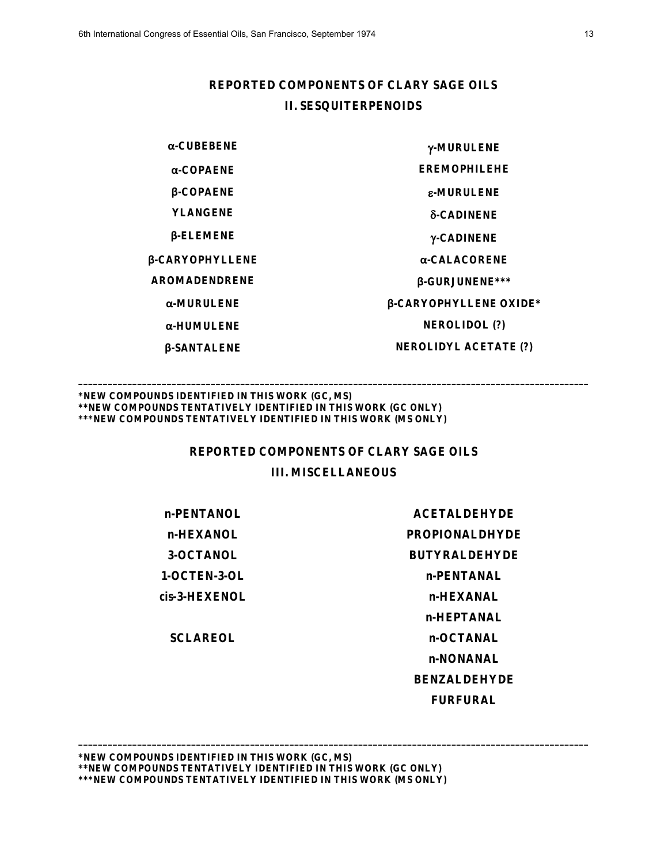## **REPORTED COMPONENTS OF CLARY SAGE OILS II. SESQUITERPENOIDS**

**β-SANTALENE NEROLIDYL ACETATE (?)**

**α-CUBEBENE** γ**-MURULENE α-COPAENE EREMOPHILEHE β-COPAENE** ε**-MURULENE YLANGENE** δ**-CADINENE β-ELEMENE** γ**-CADINENE β-CARYOPHYLLENE α-CALACORENE AROMADENDRENE β-GURJUNENE\*\*\* α-MURULENE β-CARYOPHYLLENE OXIDE\* α-HUMULENE NEROLIDOL (?)**

#### **\*NEW COMPOUNDS IDENTIFIED IN THIS WORK (GC, MS) \*\*NEW COMPOUNDS TENTATIVELY IDENTIFIED IN THIS WORK (GC ONLY) \*\*\*NEW COMPOUNDS TENTATIVELY IDENTIFIED IN THIS WORK (MS ONLY)**

### **REPORTED COMPONENTS OF CLARY SAGE OILS**

**\_\_\_\_\_\_\_\_\_\_\_\_\_\_\_\_\_\_\_\_\_\_\_\_\_\_\_\_\_\_\_\_\_\_\_\_\_\_\_\_\_\_\_\_\_\_\_\_\_\_\_\_\_\_\_\_\_\_\_\_\_\_\_\_\_\_\_\_\_\_\_\_\_\_\_\_\_\_\_\_\_\_\_\_\_\_\_\_\_\_\_\_\_\_\_\_\_\_\_\_\_\_\_\_**

## **III. MISCELLANEOUS**

**\_\_\_\_\_\_\_\_\_\_\_\_\_\_\_\_\_\_\_\_\_\_\_\_\_\_\_\_\_\_\_\_\_\_\_\_\_\_\_\_\_\_\_\_\_\_\_\_\_\_\_\_\_\_\_\_\_\_\_\_\_\_\_\_\_\_\_\_\_\_\_\_\_\_\_\_\_\_\_\_\_\_\_\_\_\_\_\_\_\_\_\_\_\_\_\_\_\_\_\_\_\_\_\_**

*cis***-3-HEXENOL n-HEXANAL**

**n-PENTANOL ACETALDEHYDE n-HEXANOL PROPIONALDHYDE 3-OCTANOL BUTYRALDEHYDE 1-OCTEN-3-OL n-PENTANAL n-HEPTANAL SCLAREOL n-OCTANAL n-NONANAL BENZALDEHYDE FURFURAL**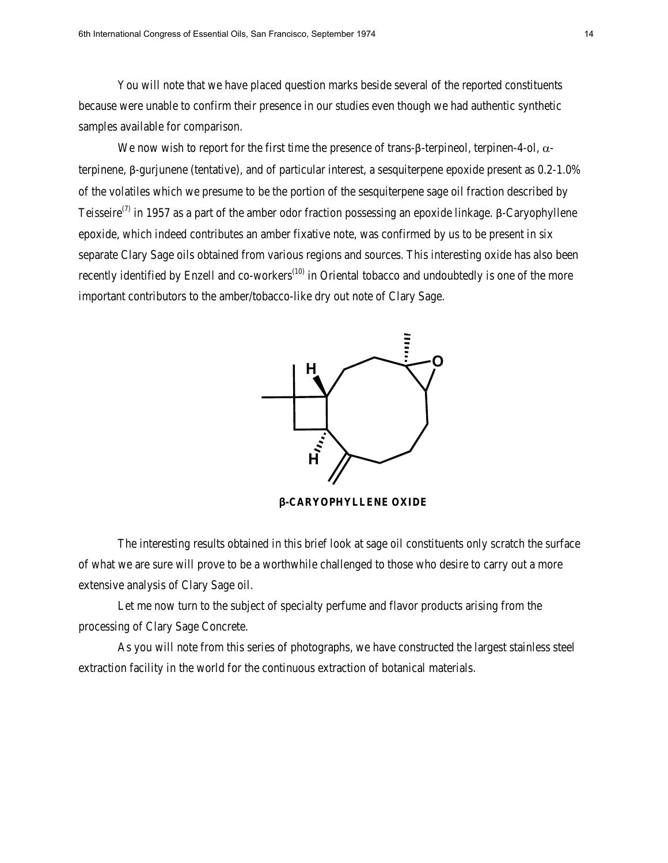You will note that we have placed question marks beside several of the reported constituents because were unable to confirm their presence in our studies even though we had authentic synthetic samples available for comparison.

We now wish to report for the first time the presence of trans-β-terpineol, terpinen-4-ol,  $\alpha$ terpinene, β-gurjunene (tentative), and of particular interest, a sesquiterpene epoxide present as 0.2-1.0% of the volatiles which we presume to be the portion of the sesquiterpene sage oil fraction described by Teisseire<sup>(7)</sup> in 1957 as a part of the amber odor fraction possessing an epoxide linkage. β-Caryophyllene epoxide, which indeed contributes an amber fixative note, was confirmed by us to be present in six separate Clary Sage oils obtained from various regions and sources. This interesting oxide has also been recently identified by Enzell and co-workers<sup> $(10)$ </sup> in Oriental tobacco and undoubtedly is one of the more important contributors to the amber/tobacco-like dry out note of Clary Sage.



**β-CARYOPHYLLENE OXIDE**

The interesting results obtained in this brief look at sage oil constituents only scratch the surface of what we are sure will prove to be a worthwhile challenged to those who desire to carry out a more extensive analysis of Clary Sage oil.

Let me now turn to the subject of specialty perfume and flavor products arising from the processing of Clary Sage Concrete.

As you will note from this series of photographs, we have constructed the largest stainless steel extraction facility in the world for the continuous extraction of botanical materials.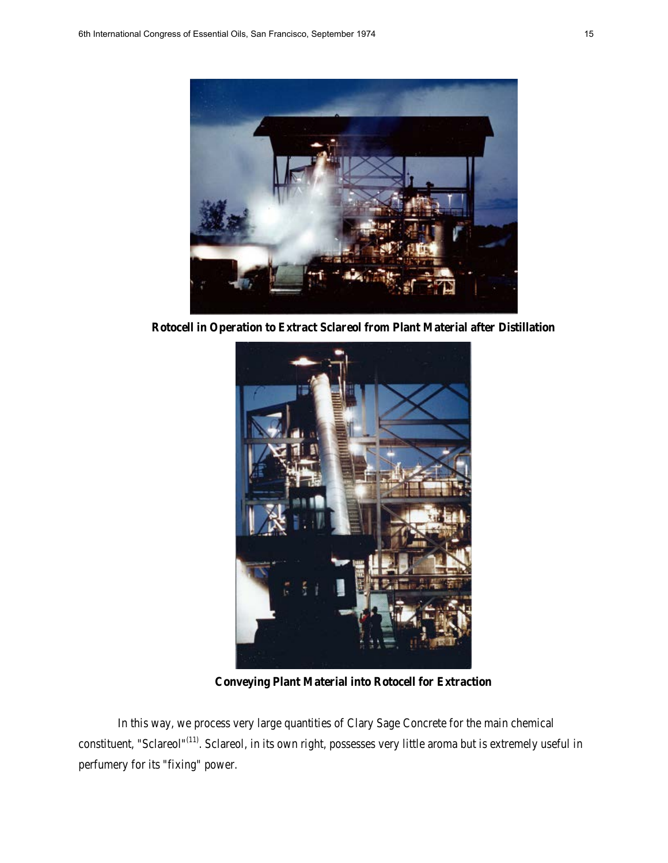

**Rotocell in Operation to Extract Sclareol from Plant Material after Distillation**



**Conveying Plant Material into Rotocell for Extraction** 

In this way, we process very large quantities of Clary Sage Concrete for the main chemical constituent, "Sclareol"<sup>(11)</sup>. Sclareol, in its own right, possesses very little aroma but is extremely useful in perfumery for its "fixing" power.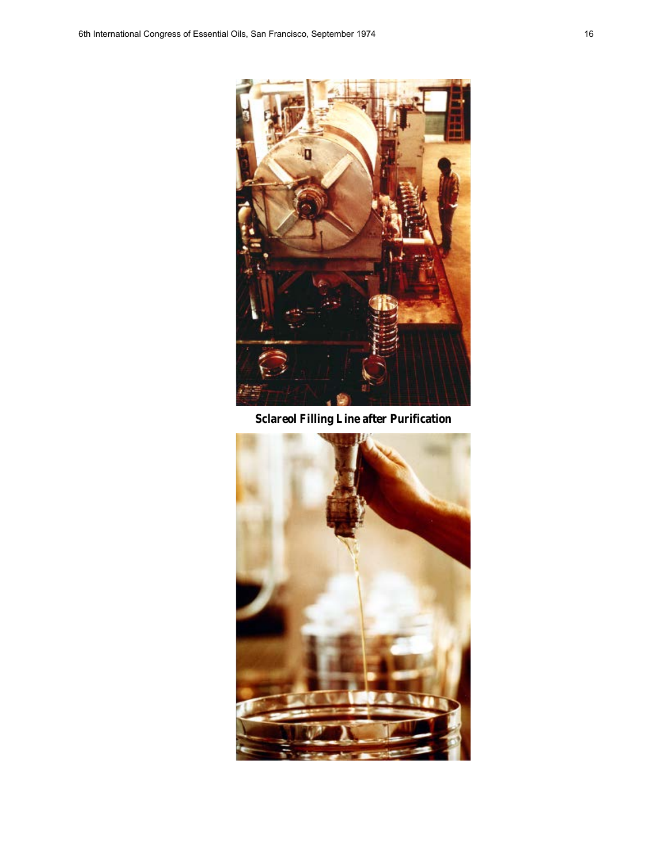

**Sclareol Filling Line after Purification** 

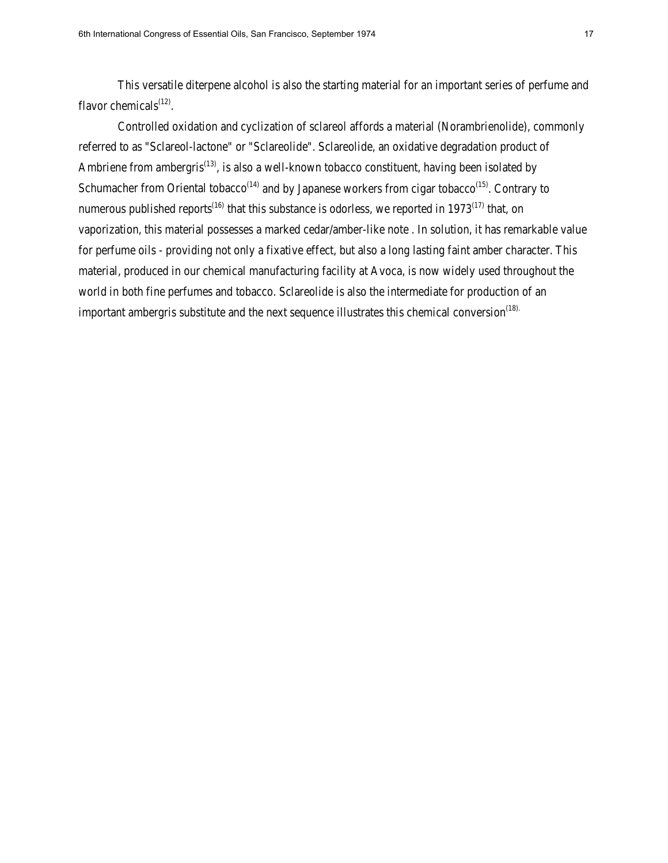This versatile diterpene alcohol is also the starting material for an important series of perfume and flavor chemicals $(12)$ .

Controlled oxidation and cyclization of sclareol affords a material (Norambrienolide), commonly referred to as "Sclareol-lactone" or "Sclareolide". Sclareolide, an oxidative degradation product of Ambriene from ambergris<sup>(13)</sup>, is also a well-known tobacco constituent, having been isolated by Schumacher from Oriental tobacco<sup> $(14)$ </sup> and by Japanese workers from cigar tobacco<sup> $(15)$ </sup>. Contrary to numerous published reports<sup>(16)</sup> that this substance is odorless, we reported in 1973<sup>(17)</sup> that, on vaporization, this material possesses a marked cedar/amber-like note . In solution, it has remarkable value for perfume oils - providing not only a fixative effect, but also a long lasting faint amber character. This material, produced in our chemical manufacturing facility at Avoca, is now widely used throughout the world in both fine perfumes and tobacco. Sclareolide is also the intermediate for production of an important ambergris substitute and the next sequence illustrates this chemical conversion<sup> $(18)$ </sup>.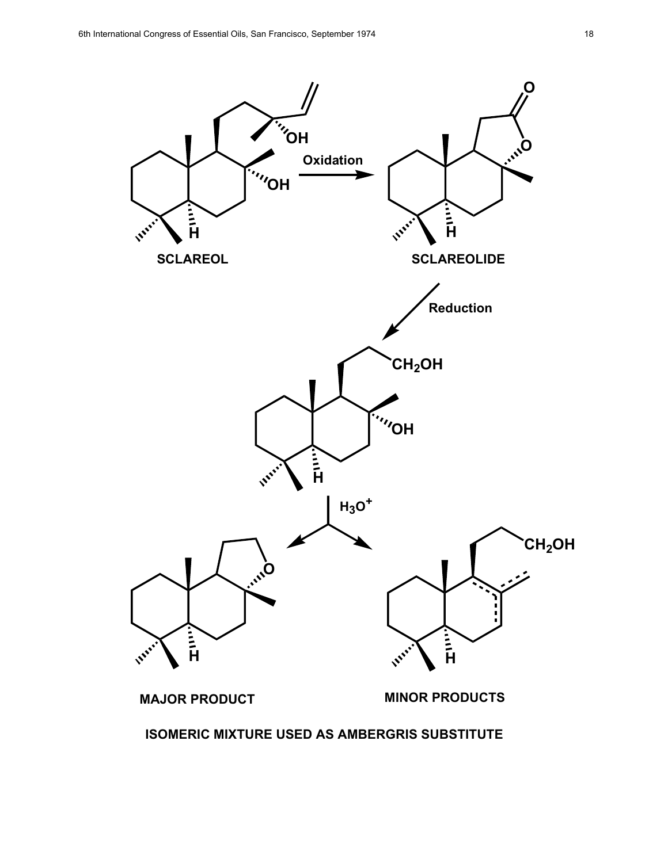

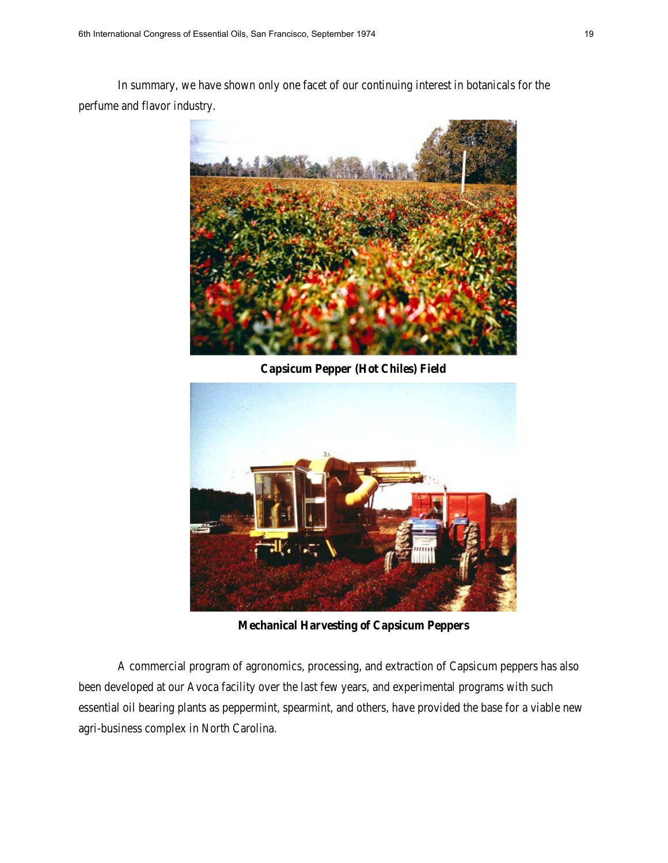In summary, we have shown only one facet of our continuing interest in botanicals for the perfume and flavor industry.



**Capsicum Pepper (Hot Chiles) Field**



**Mechanical Harvesting of Capsicum Peppers** 

A commercial program of agronomics, processing, and extraction of Capsicum peppers has also been developed at our Avoca facility over the last few years, and experimental programs with such essential oil bearing plants as peppermint, spearmint, and others, have provided the base for a viable new agri-business complex in North Carolina.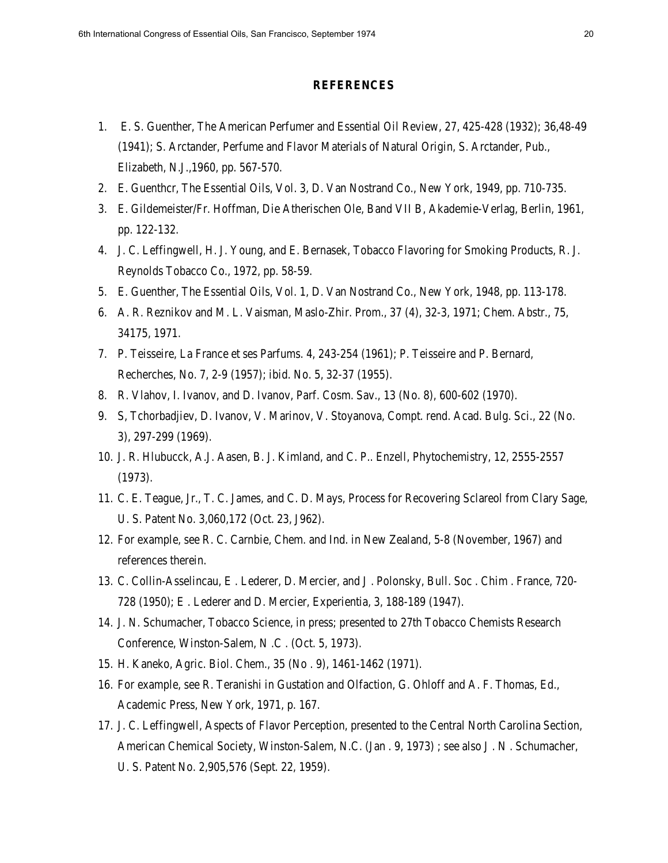#### **REFERENCES**

- 1. E. S. Guenther, The American Perfumer and Essential Oil Review, 27, 425-428 (1932); 36,48-49 (1941); S. Arctander, Perfume and Flavor Materials of Natural Origin, S. Arctander, Pub., Elizabeth, N.J.,1960, pp. 567-570.
- 2. E. Guenthcr, The Essential Oils, Vol. 3, D. Van Nostrand Co., New York, 1949, pp. 710-735.
- 3. E. Gildemeister/Fr. Hoffman, Die Atherischen Ole, Band VII B, Akademie-Verlag, Berlin, 1961, pp. 122-132.
- 4. J. C. Leffingwell, H. J. Young, and E. Bernasek, Tobacco Flavoring for Smoking Products, R. J. Reynolds Tobacco Co., 1972, pp. 58-59.
- 5. E. Guenther, The Essential Oils, Vol. 1, D. Van Nostrand Co., New York, 1948, pp. 113-178.
- 6. A. R. Reznikov and M. L. Vaisman, Maslo-Zhir. Prom., 37 (4), 32-3, 1971; Chem. Abstr., 75, 34175, 1971.
- 7. P. Teisseire, La France et ses Parfums. 4, 243-254 (1961); P. Teisseire and P. Bernard, Recherches, No. 7, 2-9 (1957); ibid. No. 5, 32-37 (1955).
- 8. R. Vlahov, I. Ivanov, and D. Ivanov, Parf. Cosm. Sav., 13 (No. 8), 600-602 (1970).
- 9. S, Tchorbadjiev, D. Ivanov, V. Marinov, V. Stoyanova, Compt. rend. Acad. Bulg. Sci., 22 (No. 3), 297-299 (1969).
- 10. J. R. Hlubucck, A.J. Aasen, B. J. Kimland, and C. P.. Enzell, Phytochemistry, 12, 2555-2557 (1973).
- 11. C. E. Teague, Jr., T. C. James, and C. D. Mays, Process for Recovering Sclareol from Clary Sage, U. S. Patent No. 3,060,172 (Oct. 23, J962).
- 12. For example, see R. C. Carnbie, Chem. and Ind. in New Zealand, 5-8 (November, 1967) and references therein.
- 13. C. Collin-Asselincau, E . Lederer, D. Mercier, and J . Polonsky, Bull. Soc . Chim . France, 720- 728 (1950); E . Lederer and D. Mercier, Experientia, 3, 188-189 (1947).
- 14. J. N. Schumacher, Tobacco Science, in press; presented to 27th Tobacco Chemists Research Conference, Winston-Salem, N .C . (Oct. 5, 1973).
- 15. H. Kaneko, Agric. Biol. Chem., 35 (No . 9), 1461-1462 (1971).
- 16. For example, see R. Teranishi in Gustation and Olfaction, G. Ohloff and A. F. Thomas, Ed., Academic Press, New York, 1971, p. 167.
- 17. J. C. Leffingwell, Aspects of Flavor Perception, presented to the Central North Carolina Section, American Chemical Society, Winston-Salem, N.C. (Jan . 9, 1973) ; see also J . N . Schumacher, U. S. Patent No. 2,905,576 (Sept. 22, 1959).